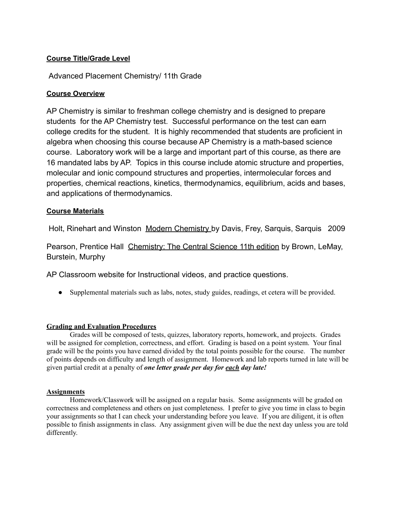# **Course Title/Grade Level**

# Advanced Placement Chemistry/ 11th Grade

## **Course Overview**

AP Chemistry is similar to freshman college chemistry and is designed to prepare students for the AP Chemistry test. Successful performance on the test can earn college credits for the student. It is highly recommended that students are proficient in algebra when choosing this course because AP Chemistry is a math-based science course. Laboratory work will be a large and important part of this course, as there are 16 mandated labs by AP. Topics in this course include atomic structure and properties, molecular and ionic compound structures and properties, intermolecular forces and properties, chemical reactions, kinetics, thermodynamics, equilibrium, acids and bases, and applications of thermodynamics.

## **Course Materials**

Holt, Rinehart and Winston Modern Chemistry by Davis, Frey, Sarquis, Sarquis 2009

Pearson, Prentice Hall Chemistry: The Central Science 11th edition by Brown, LeMay, Burstein, Murphy

AP Classroom website for Instructional videos, and practice questions.

● Supplemental materials such as labs, notes, study guides, readings, et cetera will be provided.

## **Grading and Evaluation Procedures**

Grades will be composed of tests, quizzes, laboratory reports, homework, and projects. Grades will be assigned for completion, correctness, and effort. Grading is based on a point system. Your final grade will be the points you have earned divided by the total points possible for the course. The number of points depends on difficulty and length of assignment. Homework and lab reports turned in late will be given partial credit at a penalty of *one letter grade per day for each day late!*

#### **Assignments**

Homework/Classwork will be assigned on a regular basis. Some assignments will be graded on correctness and completeness and others on just completeness. I prefer to give you time in class to begin your assignments so that I can check your understanding before you leave. If you are diligent, it is often possible to finish assignments in class. Any assignment given will be due the next day unless you are told differently.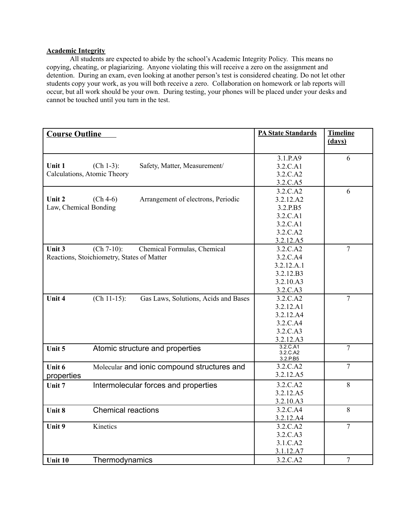#### **Academic Integrity**

All students are expected to abide by the school's Academic Integrity Policy. This means no copying, cheating, or plagiarizing. Anyone violating this will receive a zero on the assignment and detention. During an exam, even looking at another person's test is considered cheating. Do not let other students copy your work, as you will both receive a zero. Collaboration on homework or lab reports will occur, but all work should be your own. During testing, your phones will be placed under your desks and cannot be touched until you turn in the test.

| <b>Course Outline</b>       |                                                        | <b>PA State Standards</b> | <b>Timeline</b> |
|-----------------------------|--------------------------------------------------------|---------------------------|-----------------|
|                             |                                                        |                           | (days)          |
|                             |                                                        | 3.1.P.A9                  | 6               |
| <b>Unit 1</b>               | $(Ch 1-3):$<br>Safety, Matter, Measurement/            | 3.2.C.A1                  |                 |
| Calculations, Atomic Theory |                                                        | 3.2.C.A2                  |                 |
|                             |                                                        | 3.2.C.A5                  |                 |
|                             |                                                        | 3.2.C.A2                  | 6               |
| Unit 2                      | $(Ch 4-6)$<br>Arrangement of electrons, Periodic       | 3.2.12.A2                 |                 |
| Law, Chemical Bonding       |                                                        | 3.2.P.B5                  |                 |
|                             |                                                        | 3.2.C.A1                  |                 |
|                             |                                                        | 3.2.C.A1                  |                 |
|                             |                                                        | 3.2.C.A2                  |                 |
|                             |                                                        | 3.2.12.A5                 |                 |
| Unit 3                      | $(Ch 7-10)$ :<br>Chemical Formulas, Chemical           | 3.2.C.A2                  | $\overline{7}$  |
|                             | Reactions, Stoichiometry, States of Matter             | 3.2.C.A4                  |                 |
|                             |                                                        | 3.2.12.A.1                |                 |
|                             |                                                        | 3.2.12.B3                 |                 |
|                             |                                                        | 3.2.10.A3                 |                 |
|                             |                                                        | 3.2.C.A3                  |                 |
| Unit 4                      | $(Ch 11-15)$ :<br>Gas Laws, Solutions, Acids and Bases | 3.2.C.A2                  | $\overline{7}$  |
|                             |                                                        | 3.2.12.A1                 |                 |
|                             |                                                        | 3.2.12.A4                 |                 |
|                             |                                                        | 3.2.C.A4                  |                 |
|                             |                                                        | 3.2.C.A3                  |                 |
|                             |                                                        | 3.2.12.A3                 |                 |
| Unit 5                      | Atomic structure and properties                        | 3.2.C.A1<br>3.2.C.A2      | $\overline{7}$  |
|                             |                                                        | 3.2.P.B5                  |                 |
| Unit 6                      | Molecular and ionic compound structures and            | 3.2.C.A2                  | $\overline{7}$  |
| properties                  |                                                        | 3.2.12.A5                 |                 |
| Unit 7                      | Intermolecular forces and properties                   | 3.2.C.A2                  | 8               |
|                             |                                                        | 3.2.12.A5                 |                 |
|                             |                                                        | 3.2.10.A3                 |                 |
| Unit 8                      | <b>Chemical reactions</b>                              | 3.2.C.A4                  | 8               |
|                             |                                                        | 3.2.12.A4                 |                 |
| Unit 9                      | Kinetics                                               | 3.2.C.A2                  | $\overline{7}$  |
|                             |                                                        | 3.2.C.A3                  |                 |
|                             |                                                        | 3.1.C.A2                  |                 |
|                             |                                                        | 3.1.12.A7                 |                 |
| Unit 10                     | Thermodynamics                                         | 3.2.C.A2                  | $\overline{7}$  |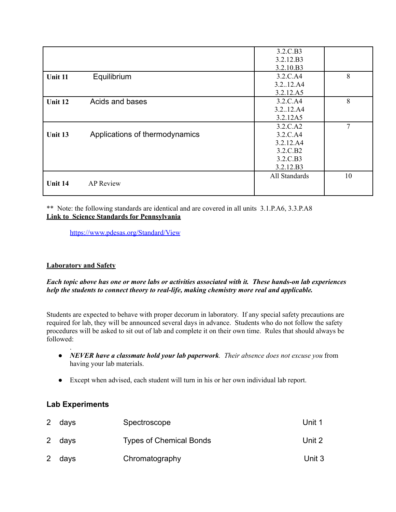|         |                                | 3.2.C.B3      |    |
|---------|--------------------------------|---------------|----|
|         |                                | 3.2.12.B3     |    |
|         |                                | 3.2.10.B3     |    |
| Unit 11 | Equilibrium                    | 3.2.C.A4      | 8  |
|         |                                | 3.2.12.A4     |    |
|         |                                | 3.2.12.A5     |    |
| Unit 12 | Acids and bases                | 3.2.C.A4      | 8  |
|         |                                | 3.212.A4      |    |
|         |                                | 3.2.12A5      |    |
|         |                                | 3.2.C.A2      | 7  |
| Unit 13 | Applications of thermodynamics | 3.2.C.A4      |    |
|         |                                | 3.2.12.A4     |    |
|         |                                | 3.2.C.B2      |    |
|         |                                | 3.2.C.B3      |    |
|         |                                | 3.2.12.B3     |    |
|         |                                | All Standards | 10 |
| Unit 14 | <b>AP</b> Review               |               |    |
|         |                                |               |    |

\*\* Note: the following standards are identical and are covered in all units 3.1.P.A6, 3.3.P.A8 **Link to Science Standards for Pennsylvania**

<https://www.pdesas.org/Standard/View>

## **Laboratory and Safety**

## *Each topic above has one or more labs or activities associated with it. These hands-on lab experiences help the students to connect theory to real-life, making chemistry more real and applicable.*

Students are expected to behave with proper decorum in laboratory. If any special safety precautions are required for lab, they will be announced several days in advance. Students who do not follow the safety procedures will be asked to sit out of lab and complete it on their own time. Rules that should always be followed:

- . ● *NEVER have a classmate hold your lab paperwork. Their absence does not excuse you* from having your lab materials.
- Except when advised, each student will turn in his or her own individual lab report.

# **Lab Experiments**

| 2 days | Spectroscope                   | Unit 1 |
|--------|--------------------------------|--------|
| 2 days | <b>Types of Chemical Bonds</b> | Unit 2 |
| 2 days | Chromatography                 | Unit 3 |